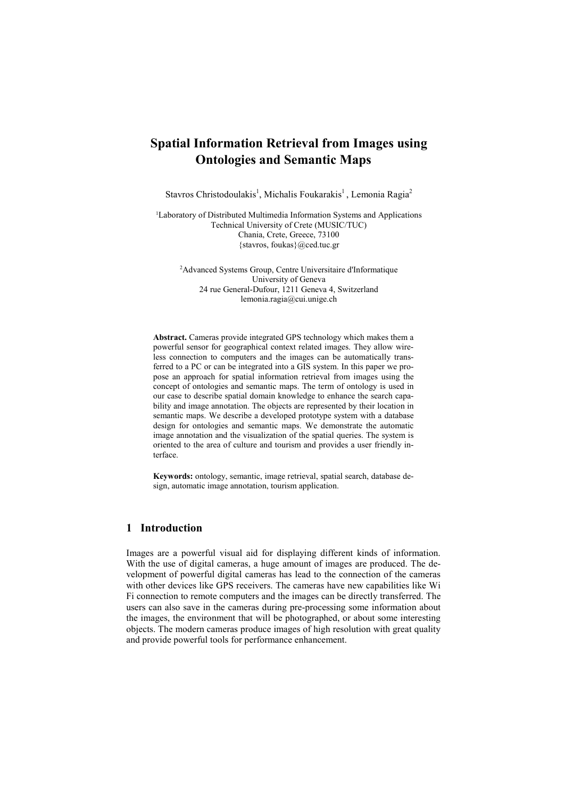# Spatial Information Retrieval from Images using Ontologies and Semantic Maps

Stavros Christodoulakis<sup>1</sup>, Michalis Foukarakis<sup>1</sup>, Lemonia Ragia<sup>2</sup>

<sup>1</sup>Laboratory of Distributed Multimedia Information Systems and Applications Technical University of Crete (MUSIC/TUC) Chania, Crete, Greece, 73100 {stavros, foukas}@ced.tuc.gr

<sup>2</sup>Advanced Systems Group, Centre Universitaire d'Informatique University of Geneva 24 rue General-Dufour, 1211 Geneva 4, Switzerland lemonia.ragia@cui.unige.ch

Abstract. Cameras provide integrated GPS technology which makes them a powerful sensor for geographical context related images. They allow wireless connection to computers and the images can be automatically transferred to a PC or can be integrated into a GIS system. In this paper we propose an approach for spatial information retrieval from images using the concept of ontologies and semantic maps. The term of ontology is used in our case to describe spatial domain knowledge to enhance the search capability and image annotation. The objects are represented by their location in semantic maps. We describe a developed prototype system with a database design for ontologies and semantic maps. We demonstrate the automatic image annotation and the visualization of the spatial queries. The system is oriented to the area of culture and tourism and provides a user friendly interface.

Keywords: ontology, semantic, image retrieval, spatial search, database design, automatic image annotation, tourism application.

# 1 Introduction

Images are a powerful visual aid for displaying different kinds of information. With the use of digital cameras, a huge amount of images are produced. The development of powerful digital cameras has lead to the connection of the cameras with other devices like GPS receivers. The cameras have new capabilities like Wi Fi connection to remote computers and the images can be directly transferred. The users can also save in the cameras during pre-processing some information about the images, the environment that will be photographed, or about some interesting objects. The modern cameras produce images of high resolution with great quality and provide powerful tools for performance enhancement.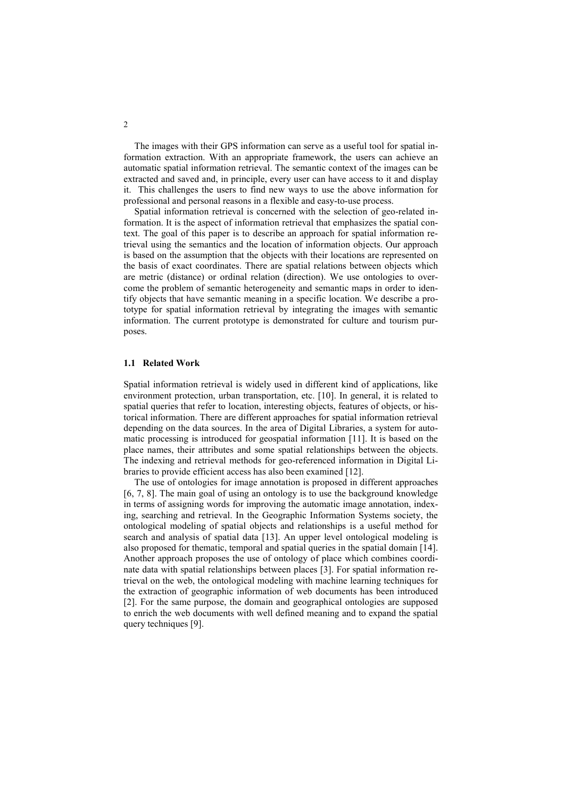The images with their GPS information can serve as a useful tool for spatial information extraction. With an appropriate framework, the users can achieve an automatic spatial information retrieval. The semantic context of the images can be extracted and saved and, in principle, every user can have access to it and display it. This challenges the users to find new ways to use the above information for professional and personal reasons in a flexible and easy-to-use process.

Spatial information retrieval is concerned with the selection of geo-related information. It is the aspect of information retrieval that emphasizes the spatial context. The goal of this paper is to describe an approach for spatial information retrieval using the semantics and the location of information objects. Our approach is based on the assumption that the objects with their locations are represented on the basis of exact coordinates. There are spatial relations between objects which are metric (distance) or ordinal relation (direction). We use ontologies to overcome the problem of semantic heterogeneity and semantic maps in order to identify objects that have semantic meaning in a specific location. We describe a prototype for spatial information retrieval by integrating the images with semantic information. The current prototype is demonstrated for culture and tourism purposes.

#### 1.1 Related Work

Spatial information retrieval is widely used in different kind of applications, like environment protection, urban transportation, etc. [10]. In general, it is related to spatial queries that refer to location, interesting objects, features of objects, or historical information. There are different approaches for spatial information retrieval depending on the data sources. In the area of Digital Libraries, a system for automatic processing is introduced for geospatial information [11]. It is based on the place names, their attributes and some spatial relationships between the objects. The indexing and retrieval methods for geo-referenced information in Digital Libraries to provide efficient access has also been examined [12].

The use of ontologies for image annotation is proposed in different approaches  $[6, 7, 8]$ . The main goal of using an ontology is to use the background knowledge in terms of assigning words for improving the automatic image annotation, indexing, searching and retrieval. In the Geographic Information Systems society, the ontological modeling of spatial objects and relationships is a useful method for search and analysis of spatial data [13]. An upper level ontological modeling is also proposed for thematic, temporal and spatial queries in the spatial domain [14]. Another approach proposes the use of ontology of place which combines coordinate data with spatial relationships between places [3]. For spatial information retrieval on the web, the ontological modeling with machine learning techniques for the extraction of geographic information of web documents has been introduced [2]. For the same purpose, the domain and geographical ontologies are supposed to enrich the web documents with well defined meaning and to expand the spatial query techniques [9].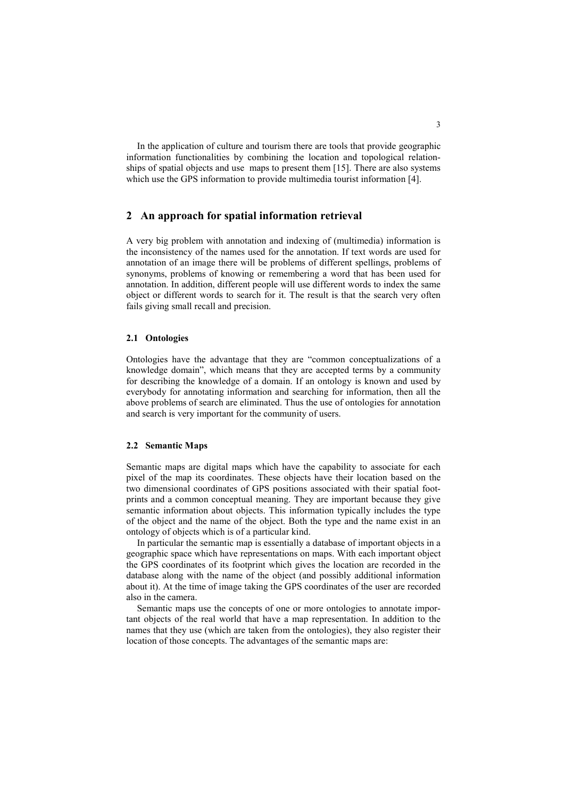In the application of culture and tourism there are tools that provide geographic information functionalities by combining the location and topological relationships of spatial objects and use maps to present them [15]. There are also systems which use the GPS information to provide multimedia tourist information [4].

### 2 An approach for spatial information retrieval

A very big problem with annotation and indexing of (multimedia) information is the inconsistency of the names used for the annotation. If text words are used for annotation of an image there will be problems of different spellings, problems of synonyms, problems of knowing or remembering a word that has been used for annotation. In addition, different people will use different words to index the same object or different words to search for it. The result is that the search very often fails giving small recall and precision.

### 2.1 Ontologies

Ontologies have the advantage that they are "common conceptualizations of a knowledge domain", which means that they are accepted terms by a community for describing the knowledge of a domain. If an ontology is known and used by everybody for annotating information and searching for information, then all the above problems of search are eliminated. Thus the use of ontologies for annotation and search is very important for the community of users.

#### 2.2 Semantic Maps

Semantic maps are digital maps which have the capability to associate for each pixel of the map its coordinates. These objects have their location based on the two dimensional coordinates of GPS positions associated with their spatial footprints and a common conceptual meaning. They are important because they give semantic information about objects. This information typically includes the type of the object and the name of the object. Both the type and the name exist in an ontology of objects which is of a particular kind.

In particular the semantic map is essentially a database of important objects in a geographic space which have representations on maps. With each important object the GPS coordinates of its footprint which gives the location are recorded in the database along with the name of the object (and possibly additional information about it). At the time of image taking the GPS coordinates of the user are recorded also in the camera.

Semantic maps use the concepts of one or more ontologies to annotate important objects of the real world that have a map representation. In addition to the names that they use (which are taken from the ontologies), they also register their location of those concepts. The advantages of the semantic maps are: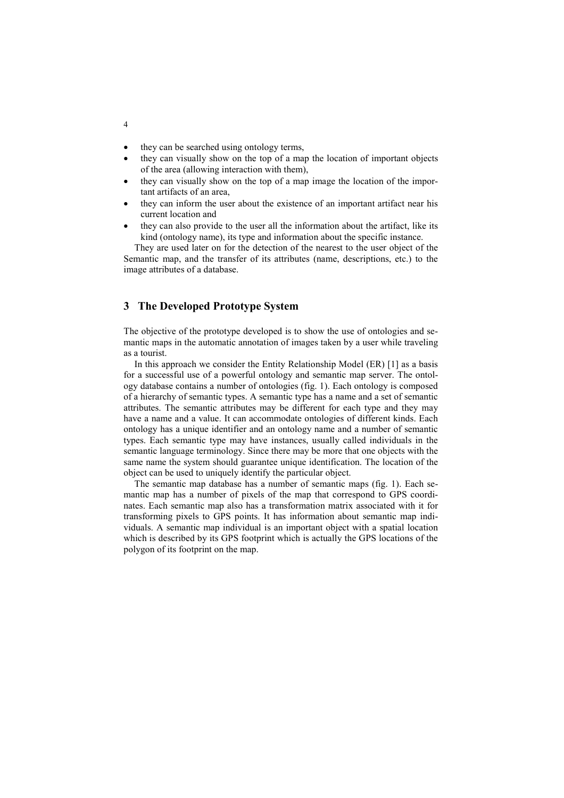- they can be searched using ontology terms,
- they can visually show on the top of a map the location of important objects of the area (allowing interaction with them),
- they can visually show on the top of a map image the location of the important artifacts of an area,
- they can inform the user about the existence of an important artifact near his current location and
- they can also provide to the user all the information about the artifact, like its kind (ontology name), its type and information about the specific instance.

They are used later on for the detection of the nearest to the user object of the Semantic map, and the transfer of its attributes (name, descriptions, etc.) to the image attributes of a database.

# 3 The Developed Prototype System

The objective of the prototype developed is to show the use of ontologies and semantic maps in the automatic annotation of images taken by a user while traveling as a tourist.

In this approach we consider the Entity Relationship Model (ER) [1] as a basis for a successful use of a powerful ontology and semantic map server. The ontology database contains a number of ontologies (fig. 1). Each ontology is composed of a hierarchy of semantic types. A semantic type has a name and a set of semantic attributes. The semantic attributes may be different for each type and they may have a name and a value. It can accommodate ontologies of different kinds. Each ontology has a unique identifier and an ontology name and a number of semantic types. Each semantic type may have instances, usually called individuals in the semantic language terminology. Since there may be more that one objects with the same name the system should guarantee unique identification. The location of the object can be used to uniquely identify the particular object.

The semantic map database has a number of semantic maps (fig. 1). Each semantic map has a number of pixels of the map that correspond to GPS coordinates. Each semantic map also has a transformation matrix associated with it for transforming pixels to GPS points. It has information about semantic map individuals. A semantic map individual is an important object with a spatial location which is described by its GPS footprint which is actually the GPS locations of the polygon of its footprint on the map.

4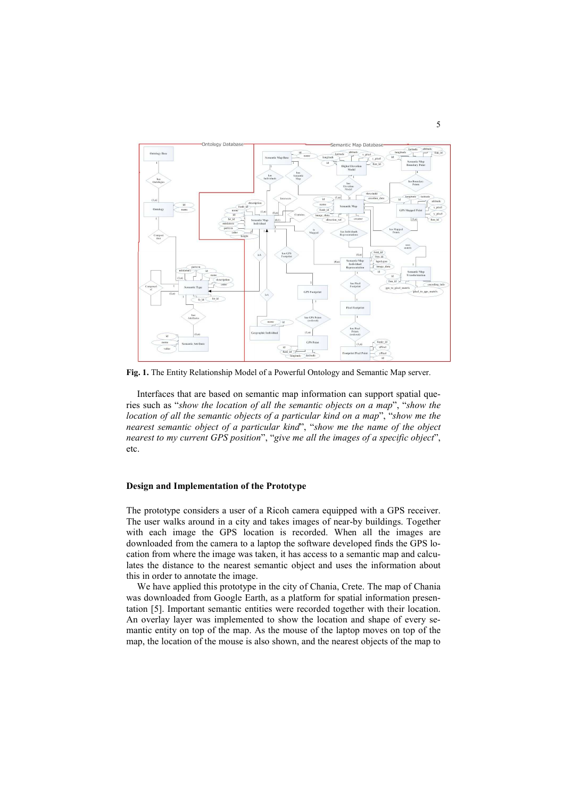

Fig. 1. The Entity Relationship Model of a Powerful Ontology and Semantic Map server.

Interfaces that are based on semantic map information can support spatial queries such as "show the location of all the semantic objects on a map", "show the location of all the semantic objects of a particular kind on a map", "show me the nearest semantic object of a particular kind", "show me the name of the object nearest to my current GPS position", "give me all the images of a specific object", etc.

#### Design and Implementation of the Prototype

The prototype considers a user of a Ricoh camera equipped with a GPS receiver. The user walks around in a city and takes images of near-by buildings. Together with each image the GPS location is recorded. When all the images are downloaded from the camera to a laptop the software developed finds the GPS location from where the image was taken, it has access to a semantic map and calculates the distance to the nearest semantic object and uses the information about this in order to annotate the image.

We have applied this prototype in the city of Chania, Crete. The map of Chania was downloaded from Google Earth, as a platform for spatial information presentation [5]. Important semantic entities were recorded together with their location. An overlay layer was implemented to show the location and shape of every semantic entity on top of the map. As the mouse of the laptop moves on top of the map, the location of the mouse is also shown, and the nearest objects of the map to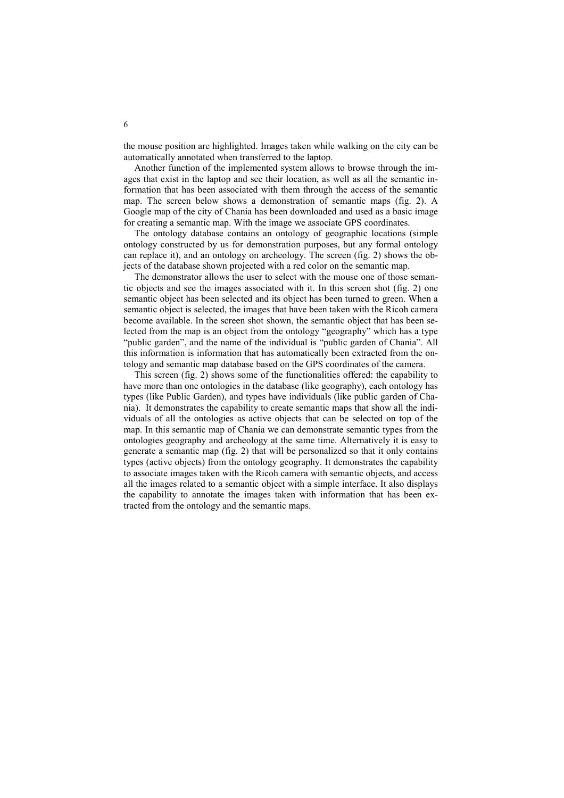the mouse position are highlighted. Images taken while walking on the city can be automatically annotated when transferred to the laptop.

Another function of the implemented system allows to browse through the images that exist in the laptop and see their location, as well as all the semantic information that has been associated with them through the access of the semantic map. The screen below shows a demonstration of semantic maps (fig. 2). A Google map of the city of Chania has been downloaded and used as a basic image for creating a semantic map. With the image we associate GPS coordinates.

The ontology database contains an ontology of geographic locations (simple ontology constructed by us for demonstration purposes, but any formal ontology can replace it), and an ontology on archeology. The screen (fig. 2) shows the objects of the database shown projected with a red color on the semantic map.

The demonstrator allows the user to select with the mouse one of those semantic objects and see the images associated with it. In this screen shot (fig. 2) one semantic object has been selected and its object has been turned to green. When a semantic object is selected, the images that have been taken with the Ricoh camera become available. In the screen shot shown, the semantic object that has been selected from the map is an object from the ontology "geography" which has a type "public garden", and the name of the individual is "public garden of Chania". All this information is information that has automatically been extracted from the ontology and semantic map database based on the GPS coordinates of the camera.

This screen (fig. 2) shows some of the functionalities offered: the capability to have more than one ontologies in the database (like geography), each ontology has types (like Public Garden), and types have individuals (like public garden of Chania). It demonstrates the capability to create semantic maps that show all the individuals of all the ontologies as active objects that can be selected on top of the map. In this semantic map of Chania we can demonstrate semantic types from the ontologies geography and archeology at the same time. Alternatively it is easy to generate a semantic map (fig. 2) that will be personalized so that it only contains types (active objects) from the ontology geography. It demonstrates the capability to associate images taken with the Ricoh camera with semantic objects, and access all the images related to a semantic object with a simple interface. It also displays the capability to annotate the images taken with information that has been extracted from the ontology and the semantic maps.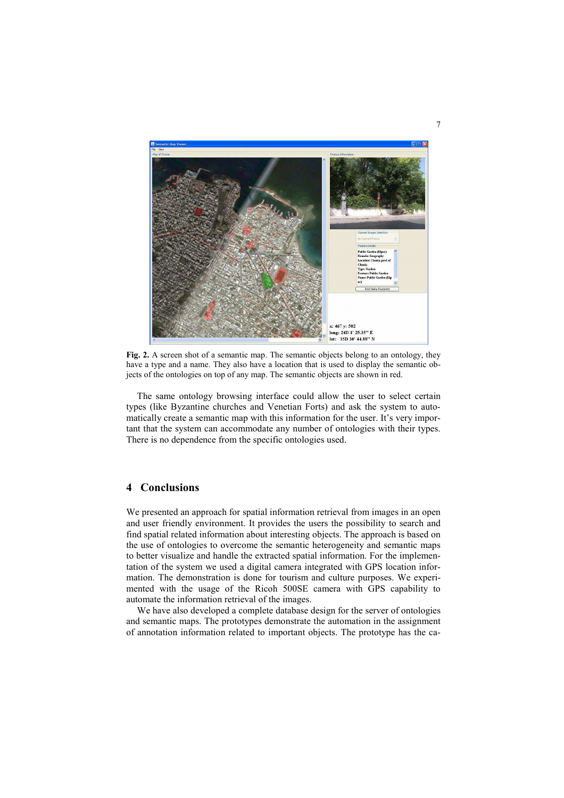

Fig. 2. A screen shot of a semantic map. The semantic objects belong to an ontology, they have a type and a name. They also have a location that is used to display the semantic objects of the ontologies on top of any map. The semantic objects are shown in red.

The same ontology browsing interface could allow the user to select certain types (like Byzantine churches and Venetian Forts) and ask the system to automatically create a semantic map with this information for the user. It's very important that the system can accommodate any number of ontologies with their types. There is no dependence from the specific ontologies used.

## 4 Conclusions

We presented an approach for spatial information retrieval from images in an open and user friendly environment. It provides the users the possibility to search and find spatial related information about interesting objects. The approach is based on the use of ontologies to overcome the semantic heterogeneity and semantic maps to better visualize and handle the extracted spatial information. For the implementation of the system we used a digital camera integrated with GPS location information. The demonstration is done for tourism and culture purposes. We experimented with the usage of the Ricoh 500SE camera with GPS capability to automate the information retrieval of the images.

We have also developed a complete database design for the server of ontologies and semantic maps. The prototypes demonstrate the automation in the assignment of annotation information related to important objects. The prototype has the ca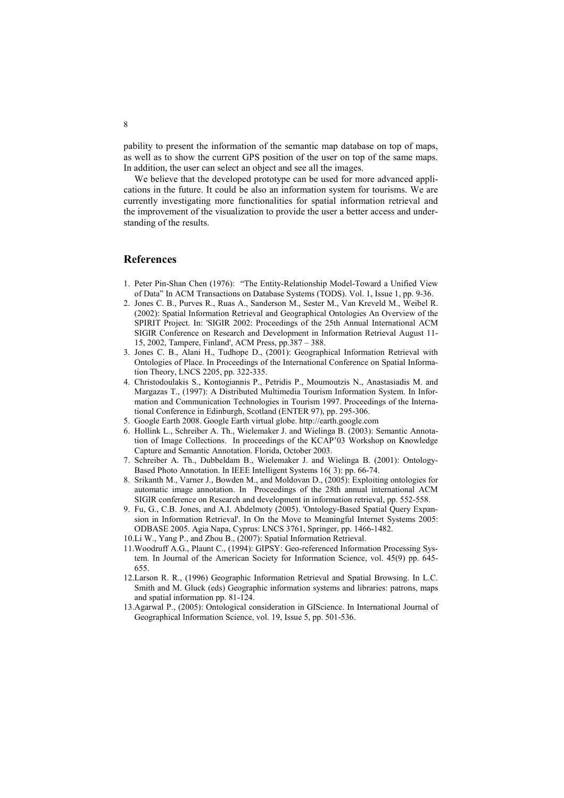pability to present the information of the semantic map database on top of maps, as well as to show the current GPS position of the user on top of the same maps. In addition, the user can select an object and see all the images.

We believe that the developed prototype can be used for more advanced applications in the future. It could be also an information system for tourisms. We are currently investigating more functionalities for spatial information retrieval and the improvement of the visualization to provide the user a better access and understanding of the results.

# **References**

- 1. Peter Pin-Shan Chen (1976): "The Entity-Relationship Model-Toward a Unified View of Data" In ACM Transactions on Database Systems (TODS). Vol. 1, Issue 1, pp. 9-36.
- 2. Jones C. B., Purves R., Ruas A., Sanderson M., Sester M., Van Kreveld M., Weibel R. (2002): Spatial Information Retrieval and Geographical Ontologies An Overview of the SPIRIT Project. In: 'SIGIR 2002: Proceedings of the 25th Annual International ACM SIGIR Conference on Research and Development in Information Retrieval August 11- 15, 2002, Tampere, Finland', ACM Press, pp.387 – 388.
- 3. Jones C. B., Alani H., Tudhope D., (2001): Geographical Information Retrieval with Ontologies of Place. In Proceedings of the International Conference on Spatial Information Theory, LNCS 2205, pp. 322-335.
- 4. Christodoulakis S., Kontogiannis P., Petridis P., Moumoutzis N., Anastasiadis M. and Margazas T., (1997): A Distributed Multimedia Tourism Information System. In Information and Communication Technologies in Tourism 1997. Proceedings of the International Conference in Edinburgh, Scotland (ENTER 97), pp. 295-306.
- 5. Google Earth 2008. Google Earth virtual globe. http://earth.google.com
- 6. Hollink L., Schreiber A. Th., Wielemaker J. and Wielinga B. (2003): Semantic Annotation of Image Collections. In proceedings of the KCAP'03 Workshop on Knowledge Capture and Semantic Annotation. Florida, October 2003.
- 7. Schreiber A. Th., Dubbeldam B., Wielemaker J. and Wielinga B. (2001): Ontology-Based Photo Annotation. In IEEE Intelligent Systems 16( 3): pp. 66-74.
- 8. Srikanth M., Varner J., Bowden M., and Moldovan D., (2005): Exploiting ontologies for automatic image annotation. In Proceedings of the 28th annual international ACM SIGIR conference on Research and development in information retrieval, pp. 552-558.
- 9. Fu, G., C.B. Jones, and A.I. Abdelmoty (2005). 'Ontology-Based Spatial Query Expansion in Information Retrieval'. In On the Move to Meaningful Internet Systems 2005: ODBASE 2005. Agia Napa, Cyprus: LNCS 3761, Springer, pp. 1466-1482.
- 10. Li W., Yang P., and Zhou B., (2007): Spatial Information Retrieval.
- 11. Woodruff A.G., Plaunt C., (1994): GIPSY: Geo-referenced Information Processing System. In Journal of the American Society for Information Science, vol. 45(9) pp. 645- 655.
- 12. Larson R. R., (1996) Geographic Information Retrieval and Spatial Browsing. In L.C. Smith and M. Gluck (eds) Geographic information systems and libraries: patrons, maps and spatial information pp. 81-124.
- 13. Agarwal P., (2005): Ontological consideration in GIScience. In International Journal of Geographical Information Science, vol. 19, Issue 5, pp. 501-536.